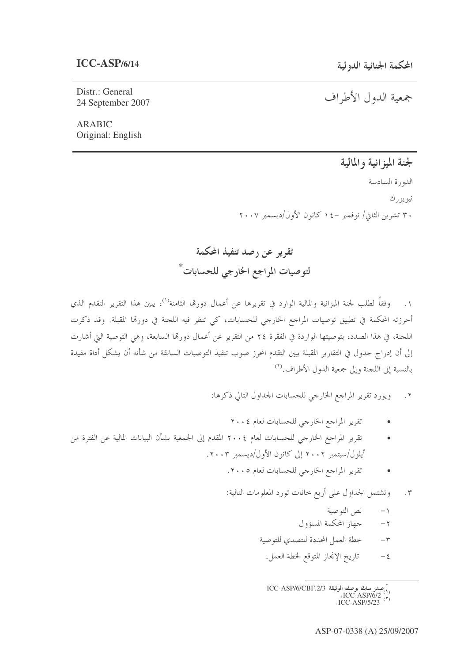Distr.: General 24 September 2007

ARABIC Original: English جمعية الدول الأطراف -

لجنة الميزانية والمالية الدورة السادسة --نيو يو رك ۳۰ تشرین الثاني/ نوفمبر –١٤ كانون الأول/ديسمبر ٢٠٠٧ -

تقرير عن رصد تنفيذ المحكمة لتوصيات المراجع الخارجي للحسابات<sup>\*</sup>

١. وفقاً لطلب لجنة الميزانية والمالية الوارد في تقريرها عن أعمال دورهّا الثامنة<sup>\١)</sup>، يبين هذا التقرير التقدم الذي -----أحرزته المحكمة في تطبيق توصيات المراجع الخارجي للحسابات، كي تنظر فيه اللجنة في دورقما المقبلة. وقد ذكرت -اللحنة، في هذا الصدد، بتوصيتها الواردة في الفقرة ٢٤ من التقرير عن أعمال دورهّا السابعة، وهي التوصية التي أشارت --------إلى أن إدراج حدول في التقارير المقبلة يبين التقدم المحرز صوب تنفيذ التوصيات السابقة من شأنه أن يشكل أداة مفيدة ----بالنسبة إلى اللجنة وإلى جمعية الدول الأطراف.<sup>(٢)</sup> --

> ٢. ويورد تقرير المراجع الخارجي للحسابات الجداول التالي ذكرها: -

- تقرير المراجع الخارجي للحسابات لعام ٢٠٠٤
- تقرير المراجع الخارجي للحسابات لعام ٢٠٠٤ المقدم إلى الجمعية بشأن البيانات المالية عن الفترة من --أيلول/سبتمبر ٢٠٠٢ إلى كانون الأول/ديسمبر ٢٠٠٣.
	- +)c ? H IJ9 GKL- MK-5- •
	- ٣. وتشتمل الجداول على أربع خانات تورد المعلومات التالية: -
		- ١- نص التوصية -
		- ٢– حهاز المحكمة المسؤول
		- ٣- خطة العمل المحددة للتصدي للتوصية -
			- ٤ تاريخ الإنحاز المتوقع لخطة العمل. -

تصدر سابقا ب*وصفه* الوثيقة ICC-ASP/6/CBF.2/3<br>(۱) ICC-ASP/6/2.<br>(۲) ICC-ASP/5/23.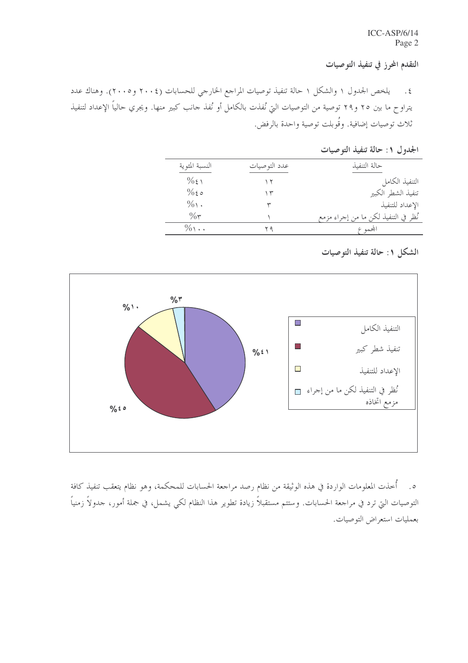التقدم المحرز في تنفيذ التوصيات

٤. يلخص الجدول ١ والشكل ١ حالة تنفيذ توصيات المراجع الخارجي للحسابات (٢٠٠٤ و٢٠٠٥). وهناك عدد -يتراوح ما بين ٢٥ و٢٩ توصية من التوصيات التي نُفذت بالكامل أو نُفذ حانب كبير منها. ويجري حالياً الإعداد لتنفيذ --ثلاث توصيات إضافية. وقُوبلت توصية واحدة بالرفض.

الجدول ۱: حالة تنفيذ التوصيات

| النسبة المئوية       | عدد التو صيات | حالة التنفىذ                         |
|----------------------|---------------|--------------------------------------|
| $\%$ ٤١              |               | التنفيذ الكامل                       |
| $\%$ 20              | ۱۳            | تنفيذ الشطر الكبير                   |
| $\%$                 |               | الإعداد للتنفيذ                      |
| $\%$                 |               | نُظر في التنفيذ لكن ما من إجراء مزمع |
| $\%$ $\cdot$ $\cdot$ |               | المجموع                              |

الشكل ١: حالة تنفيذ التوصيات



ه. أخذت المعلومات الواردة في هذه الوثيقة من نظام رصد مراجعة الحسابات للمحكمة، وهو نظام يتعقب تنفيذ كافة --التوصيات الـتي ترد في مراجعة الحسابات. وستتم مستقبلاً زيادة تطوير هذا النظام لكـي يشمل، في جملة أمور، جدولاً زمنياً ---بعمليات استعراض التوصيات. -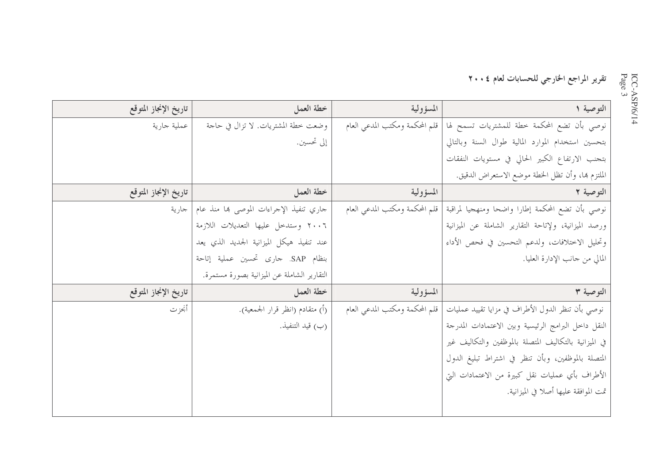## تقرير المراجع الخارجي للحسابات لعام ٢٠٠٤

| تاريخ الإنجاز المتوقع | خطة العمل                                   | المسؤولية                      | التوصية ١                                              |
|-----------------------|---------------------------------------------|--------------------------------|--------------------------------------------------------|
| عملية جارية           | وضعت خطة المشتريات. لا تزال في حاجة         | قلم المحكمة ومكتب المدعى العام | نوصي بأن تضع المحكمة خطة للمشتريات تسمح لها            |
|                       | إلى تحسين.                                  |                                | بتحسين استخدام الموارد المالية طوال السنة وبالتالي     |
|                       |                                             |                                | بتحنب الارتفاع الكبير الحالي في مستويات النفقات        |
|                       |                                             |                                | الملتزم هما، وأن تظل الخطة موضع الاستعراض الدقيق.      |
| تاريخ الإنجاز المتوقع | خطة العمل                                   | المسؤولية                      | التوصية ٢                                              |
| جارية                 | جاري تنفيذ الإجراءات الموصى بما منذ عام     | قلم المحكمة ومكتب المدعى العام | نوصي بأن تضع المحكمة إطارا واضحا ومنهجيا لمراقبة       |
|                       | ٢٠٠٦ وستدخل عليها التعديلات اللازمة         |                                | ورصد الميزانية، ولإتاحة التقارير الشاملة عن الميزانية  |
|                       | عند تنفيذ هيكل الميزانية الجديد الذي يعد    |                                | وتحليل الاختلافات، ولدعم التحسين في فحص الأداء         |
|                       | بنظام SAP. حارى تحسين عملية إتاحة           |                                | المالي من جانب الإدارة العليا.                         |
|                       | التقارير الشاملة عن الميزانية بصورة مستمرة. |                                |                                                        |
| تاريخ الإنجاز المتوقع | خطة العمل                                   | المسؤولية                      | التوصية ٣                                              |
| أنحزت                 | (أ) متقادم (انظر قرار الجمعية).             | قلم المحكمة ومكتب المدعى العام | نوصي بأن تنظر الدول الأطراف في مزايا تقييد عمليات      |
|                       | (ب) قيد التنفيذ.                            |                                | النقل داخل البرامج الرئيسية وبين الاعتمادات المدرجة    |
|                       |                                             |                                | في الميزانية بالتكاليف المتصلة بالموظفين والتكاليف غير |
|                       |                                             |                                | المتصلة بالموظفين، وبأن تنظر في اشتراط تبليغ الدول     |
|                       |                                             |                                | الأطراف بأي عمليات نقل كبيرة من الاعتمادات التي        |
|                       |                                             |                                | تمت الموافقة عليها أصلا في الميزانية.                  |
|                       |                                             |                                |                                                        |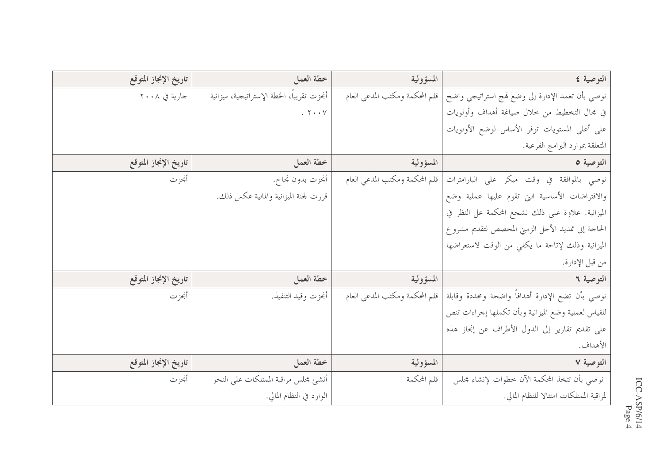| تاريخ الإنجاز المتوقع | خطة العمل                                  | المسؤولية                      | التوصية ٤                                           |
|-----------------------|--------------------------------------------|--------------------------------|-----------------------------------------------------|
| جارية في ٢٠٠٨         | أنجزت تقريباً، الخطة الإستراتيجية، ميزانية | قلم المحكمة ومكتب المدعي العام | نوصي بأن تعمد الإدارة إلى وضع فمج استراتيجي واضح    |
|                       | . $\mathbf{Y} \cdot \mathbf{Y}$            |                                | في مجال التخطيط من خلال صياغة أهداف وأولويات        |
|                       |                                            |                                | على أعلى المستويات توفر الأساس لوضع الأولويات       |
|                       |                                            |                                | المتعلقة بموارد البرامج الفرعية.                    |
| تاريخ الإنجاز المتوقع | خطة العمل                                  | المسؤولية                      | التوصية ٥                                           |
| أنحزت                 | أنحزت بدون نجاح.                           | قلم المحكمة ومكتب المدعى العام | نوصي بالموافقة في وقت مبكر على البارامترات          |
|                       | قررت لجنة الميزانية والمالية عكس ذلك.      |                                | والافتراضات الأساسية التي تقوم عليها عملية وضع      |
|                       |                                            |                                | الميزانية. علاوة على ذلك نشجع المحكمة عل النظر في   |
|                       |                                            |                                | الحاجة إلى تمديد الأحل الزمني المخصص لتقديم مشروع   |
|                       |                                            |                                | الميزانية وذلك لإتاحة ما يكفي من الوقت لاستعراضها   |
|                       |                                            |                                | من قبل الإدارة.                                     |
| تاريخ الإنجاز المتوقع | خطة العمل                                  | المسؤولية                      | التوصية ٢                                           |
| أنحزت                 | أنحزت وقيد التنفيذ.                        | قلم المحكمة ومكتب المدعى العام | نوصي بأن تضع الإدارة أهدافاً واضحة ومحددة وقابلة    |
|                       |                                            |                                | للقياس لعملية وضع الميزانية وبأن تكملها إحراءات تنص |
|                       |                                            |                                | على تقديم تقارير إلى الدول الأطراف عن إنحاز هذه     |
|                       |                                            |                                | الأهداف.                                            |
| تاريخ الإنجاز المتوقع | خطة العمل                                  | المسؤولية                      | التوصية ٧                                           |
| أنحزت                 | أنشئ محلس مراقبة الممتلكات على النحو       | قلم المحكمة                    | نوصى بأن تتخذ المحكمة الآن خطوات لإنشاء محلس        |
|                       | الوارد في النظام المالي.                   |                                | لمراقبة الممتلكات امتثالا للنظام المالي.            |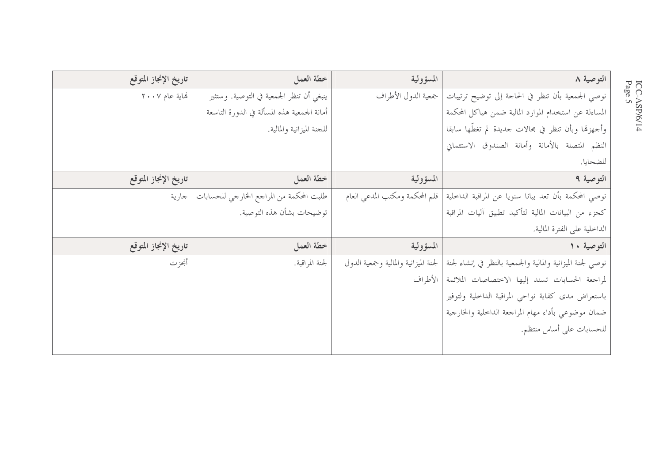| تاريخ الإنجاز المتوقع | خطة العمل                                   | المسؤولية                            | التوصية ٨                                                  |
|-----------------------|---------------------------------------------|--------------------------------------|------------------------------------------------------------|
| نهاية عام ٢٠٠٧        | ينبغي أن تنظر الجمعية في التوصية. وستثير    | جمعية الدول الأطراف                  | نوصي الجمعية بأن تنظر في الحاحة إلى توضيح ترتيبات          |
|                       | أمانة الجمعية هذه المسألة في الدورة التاسعة |                                      | المساءلة عن استخدام الموارد المالية ضمن هياكل المحكمة      |
|                       | للجنة الميزانية والمالية.                   |                                      | وأجهزها وبأن تنظر في مجالات حديدة لم تغطُّها سابقا         |
|                       |                                             |                                      | النظم المتصلة بالأمانة وأمانة الصندوق الاستئماني           |
|                       |                                             |                                      | للضحايا.                                                   |
| تاريخ الإنجاز المتوقع | خطة العمل                                   | المسؤولية                            | التوصية ٩                                                  |
| جارية                 | طلبت المحكمة من المراجع الخارجي للحسابات    | قلم المحكمة ومكتب المدعي العام       | نوصي المحكمة بأن تعد بيانا سنويا عن المراقبة الداخلية      |
|                       | توضيحات بشأن هذه التوصية.                   |                                      | كحزء من البيانات المالية لتأكيد تطبيق آليات المراقبة       |
|                       |                                             |                                      | الداخلية على الفترة المالية.                               |
| تاريخ الإنجاز المتوقع | خطة العمل                                   | المسؤولية                            | التوصية ١٠                                                 |
| أنحزت                 | لجنة المراقبة.                              | لجنة الميزانية والمالية وجمعية الدول | نوصي لجنة الميزانية والمالية والجمعية بالنظر في إنشاء لجنة |
|                       |                                             | ا الأطراف                            | لمراجعة الحسابات تسند إليها الاختصاصات الملائمة            |
|                       |                                             |                                      | باستعراض مدى كفاية نواحي المراقبة الداخلية ولتوفير         |
|                       |                                             |                                      | ضمان موضوعي بأداء مهام المراجعة الداخلية والخارجية         |
|                       |                                             |                                      | للحسابات على أساس منتظم.                                   |
|                       |                                             |                                      |                                                            |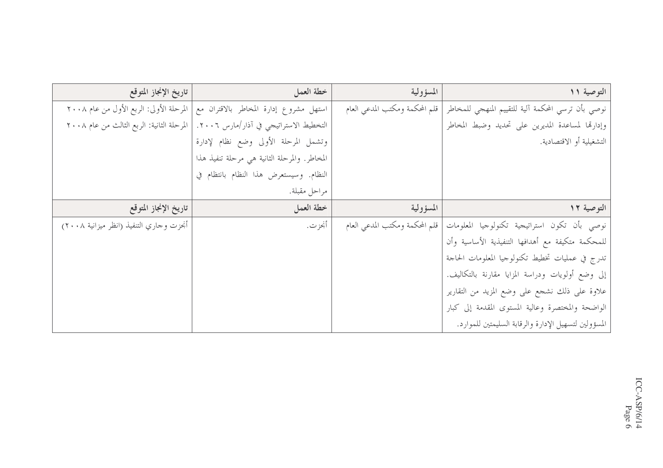| تاريخ الإنجاز المتوقع                       | خطة العمل                                    | المسؤولية                      | التوصية ١١                                           |
|---------------------------------------------|----------------------------------------------|--------------------------------|------------------------------------------------------|
| المرحلة الأولى: الربع الأول من عام ٢٠٠٨     | استهل مشروع إدارة المخاطر بالاقتران مع       | قلم المحكمة ومكتب المدعي العام | نوصي بأن ترسى المحكمة آلية للتقييم المنهجي للمخاطر   |
| ا المرحلة الثانية: الربع الثالث من عام ٢٠٠٨ | التخطيط الاستراتيجي في آذار/مارس ٢٠٠٦.       |                                | وإدارقما لمساعدة المديرين على تحديد وضبط المخاطر     |
|                                             | وتشمل المرحلة الأولى وضع نظام لإدارة         |                                | التشغيلية أو الاقتصادية.                             |
|                                             | المخاطر. والمرحلة الثانية هي مرحلة تنفيذ هذا |                                |                                                      |
|                                             | النظام. وسيستعرض هذا النظام بانتظام في       |                                |                                                      |
|                                             | مراحل مقبلة.                                 |                                |                                                      |
| تاريخ الإنجاز المتوقع                       | خطة العمل                                    | المسؤولية                      | التوصية ١٢                                           |
| أنجزت وحاري التنفيذ (انظر ميزانية ٢٠٠٨)     | أنحز ت.                                      | قلم المحكمة ومكتب المدعى العام | نوصى بأن تكون استراتيجية تكنولوجيا المعلومات         |
|                                             |                                              |                                | للمحكمة متكيفة مع أهدافها التنفيذية الأساسية وأن     |
|                                             |                                              |                                | تدرج في عمليات تخطيط تكنولوجيا المعلومات الحاجة      |
|                                             |                                              |                                | إلى وضع أولويات ودراسة المزايا مقارنة بالتكاليف.     |
|                                             |                                              |                                | علاوة على ذلك نشجع على وضع المزيد من التقارير        |
|                                             |                                              |                                | الواضحة والمختصرة وعالية المستوى المقدمة إلى كبار    |
|                                             |                                              |                                | المسؤولين لتسهيل الإدارة والرقابة السليمتين للموارد. |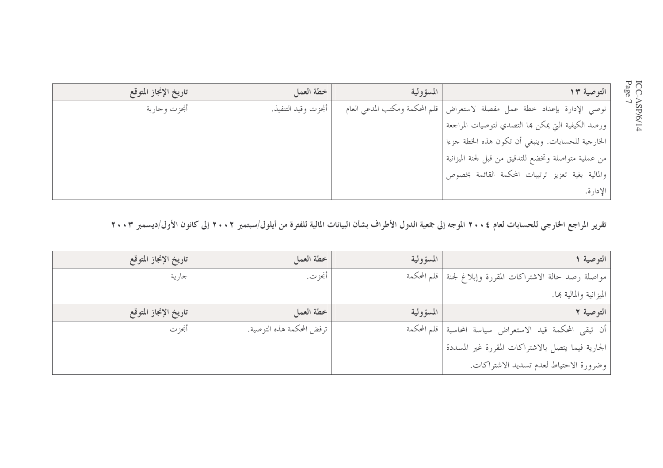| تاريخ الإنجاز المتوقع | خطة العمل           | المسؤولية                      | التوصية ١٣                                           |
|-----------------------|---------------------|--------------------------------|------------------------------------------------------|
| أنحزت وجارية          | أنحزت وقيد التنفيذ. | قلم المحكمة ومكتب المدعى العام | نوصي الإدارة بإعداد خطة عمل مفصلة لاستعراض           |
|                       |                     |                                | ورصد الكيفية التي يمكن بما التصدي لتوصيات المراجعة   |
|                       |                     |                                | الخارجية للحسابات. وينبغي أن تكون هذه الخطة جزءا     |
|                       |                     |                                | من عملية متواصلة وتخضع للتدقيق من قبل لجنة الميزانية |
|                       |                     |                                | والمالية بغية تعزيز ترتيبات المحكمة القائمة بخصوص    |
|                       |                     |                                | الإدارة.                                             |

تقرير المراجع الخارجي للحسابات لعام ٢٠٠٤ الموجه إلى جمعية الدول الأطراف بشأن البيانات المالية للفترة من أيلول/سبتمبر ٢٠٠٢ إلى كانون الأول/ديسمبر ٢٠٠٣

| التوصية ا                                                    | المسؤولية | خطة العمل                 | تاريخ الإنجاز المتوقع |
|--------------------------------------------------------------|-----------|---------------------------|-----------------------|
| مواصلة رصد حالة الاشتراكات المقررة وإبلاغ لجنة   قلم المحكمة |           | أنجز ت.                   | جارية                 |
| الميزانية والمالية بها.                                      |           |                           |                       |
| التوصية ٢                                                    | المسؤولية | خطة العمل                 | تاريخ الإنجاز المتوقع |
| أن تبقى المحكمة قيد الاستعراض سياسة المحاسبة   قلم المحكمة   |           | ترفض المحكمة هذه التوصية. | أنجز ت                |
| الجارية فيما يتصل بالاشتراكات المقررة غير المسددة            |           |                           |                       |
| وضرورة الاحتياط لعدم تسديد الاشتراكات.                       |           |                           |                       |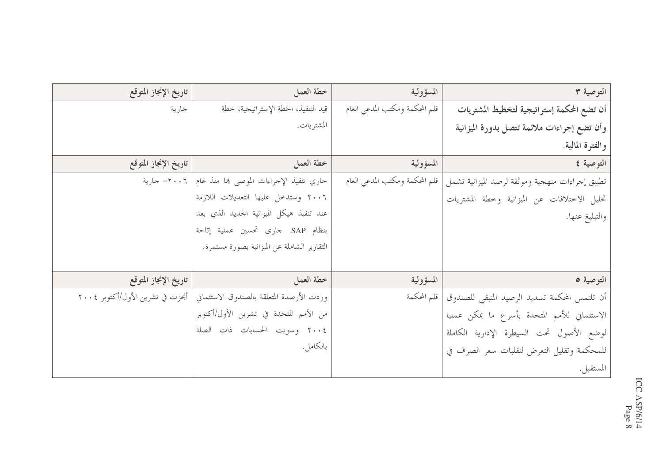| تاريخ الإنجاز المتوقع            | خطة العمل                                   | المسؤولية                      | التوصية ٣                                       |
|----------------------------------|---------------------------------------------|--------------------------------|-------------------------------------------------|
| جارية                            | قيد التنفيذ، الخطة الإستراتيجية، خطة        | قلم المحكمة ومكتب المدعي العام | أن تضع المكمة إستراتيجية لتخطيط المشتريات       |
|                                  | المشتريات.                                  |                                | وأن تضع إجراءات ملائمة تتصل بدورة الميزانية     |
|                                  |                                             |                                | والفترة المالية.                                |
| تاريخ الإنجاز المتوقع            | خطة العمل                                   | المسؤولية                      | التوصية ٤                                       |
| - ۲۰۰۲ جارية $-$                 | جاري تنفيذ الإجراءات الموصى بما منذ عام     | قلم المحكمة ومكتب المدعى العام | تطبيق إحراءات منهجية وموثقة لرصد الميزانية تشمل |
|                                  | ٢٠٠٦ وستدحل عليها التعديلات اللازمة         |                                | تحليل الاختلافات عن الميزانية وخطة المشتريات    |
|                                  | عند تنفيذ هيكل الميزانية الجديد الذي يعد    |                                | والتبليغ عنها.                                  |
|                                  | بنظام SAP. حارى تحسين عملية إتاحة           |                                |                                                 |
|                                  | التقارير الشاملة عن الميزانية بصورة مستمرة. |                                |                                                 |
|                                  |                                             |                                |                                                 |
| تاريخ الإنجاز المتوقع            | خطة العمل                                   | المسؤولية                      | التوصية ٥                                       |
| أنحزت في تشرين الأول/أكتوبر ٢٠٠٤ | وردت الأرصدة المتعلقة بالصندوق الاستئماني   | قلم المحكمة                    | أن تلتمس المحكمة تسديد الرصيد المتبقى للصندوق   |
|                                  | من الأمم المتحدة في تشرين الأول/أكتوبر      |                                | الاستئماني للأمم المتحدة بأسرع ما يمكن عمليا    |
|                                  | ٢٠٠٤ وسويت الحسابات ذات الصلة               |                                | لوضع الأصول تحت السيطرة الإدارية الكاملة        |
|                                  | بالكامل.                                    |                                | للمحكمة وتقليل التعرض لتقلبات سعر الصرف في      |
|                                  |                                             |                                | المستقبل.                                       |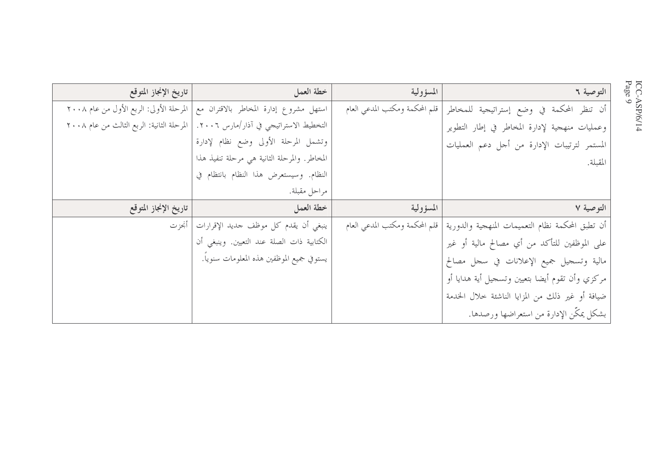| تاريخ الإنجاز المتوقع                     | خطة العمل                                    | المسؤولية                      | التوصية ٢                                        |
|-------------------------------------------|----------------------------------------------|--------------------------------|--------------------------------------------------|
| المرحلة الأولى: الربع الأول من عام ٢٠٠٨   | استهل مشروع إدارة المخاطر بالاقتران مع       | قلم المحكمة ومكتب المدعي العام | أن تنظر المحكمة في وضع إستراتيجية للمخاطر        |
| المرحلة الثانية: الربع الثالث من عام ٢٠٠٨ | التخطيط الاستراتيجي في آذار/مارس ٢٠٠٦.       |                                | وعمليات منهجية لإدارة المخاطر في إطار التطوير    |
|                                           | وتشمل المرحلة الأولى وضع نظام لإدارة         |                                | المستمر لترتيبات الإدارة من أجل دعم العمليات     |
|                                           | المخاطر. والمرحلة الثانية هي مرحلة تنفيذ هذا |                                | المقبلة.                                         |
|                                           | النظام. وسيستعرض هذا النظام بانتظام في       |                                |                                                  |
|                                           | مراحل مقبلة.                                 |                                |                                                  |
|                                           |                                              |                                |                                                  |
| تاريخ الإنجاز المتوقع                     | خطة العمل                                    | المسؤولية                      | التوصية ٧                                        |
| أنحز ت                                    | ينبغي أن يقدم كل موظف جديد الإقرارات         | قلم المحكمة ومكتب المدعي العام | أن تطبق المحكمة نظام التعميمات المنهجية والدورية |
|                                           | الكتابية ذات الصلة عند التعيين. وينبغي أن    |                                | على الموظفين للتأكد من أي مصالح مالية أو غير     |
|                                           | يستوفي جميع الموظفين هذه المعلومات سنوياً.   |                                | مالية وتسجيل جميع الإعلانات في سجل مصالح         |
|                                           |                                              |                                | مركزي وأن تقوم أيضا بتعيين وتسجيل أية هدايا أو   |
|                                           |                                              |                                | ضيافة أو غير ذلك من المزايا الناشئة خلال الخدمة  |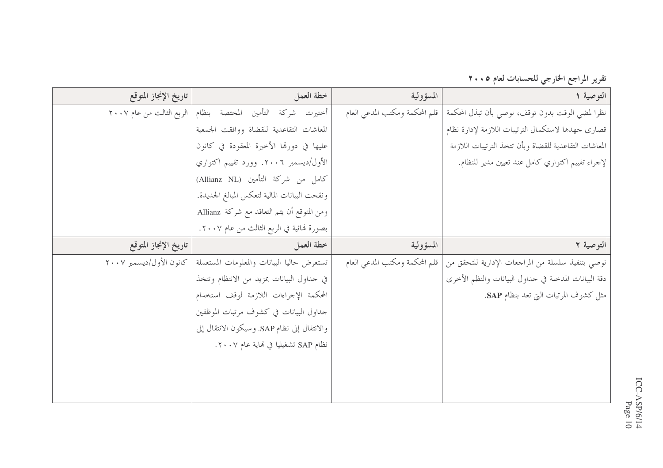تقرير المراجع الخارجي للحسابات لعام ٢٠٠٥

| تاريخ الإنجاز المتوقع    | خطة العمل                                     | المسؤولية                      | التوصية ١                                             |
|--------------------------|-----------------------------------------------|--------------------------------|-------------------------------------------------------|
| الربع الثالث من عام ٢٠٠٧ | أختيرت شركة التأمين المختصة بنظام             | قلم المحكمة ومكتب المدعى العام | نظرا لمضي الوقت بدون توقف، نوصي بأن تبذل المحكمة      |
|                          | المعاشات التقاعدية للقضاة ووافقت الجمعية      |                                | قصارى حهدها لاستكمال الترتيبات اللازمة لإدارة نظام    |
|                          | عليها في دورتما الأخيرة المعقودة في كانون     |                                | المعاشات التقاعدية للقضاة وبأن تتخذ الترتيبات اللازمة |
|                          | الأول/ديسمبر ٢٠٠٦. وورد تقييم اكتواري         |                                | لإجراء تقييم اكتواري كامل عند تعيين مدير للنظام.      |
|                          | كامل من شركة التأمين (Allianz NL)             |                                |                                                       |
|                          | ونقحت البيانات المالية لتعكس المبالغ الجديدة. |                                |                                                       |
|                          | ومن المتوقع أن يتم التعاقد مع شركة Allianz    |                                |                                                       |
|                          | بصورة لهائية في الربع الثالث من عام ٢٠٠٧.     |                                |                                                       |
| تاريخ الإنجاز المتوقع    | خطة العمل                                     | المسؤولية                      | التوصية ٢                                             |
| كانون الأول/ديسمبر ٢٠٠٧  | تستعرض حاليا البيانات والمعلومات المستعملة    | قلم المحكمة ومكتب المدعى العام | نوصي بتنفيذ سلسلة من المراجعات الإدارية للتحقق من     |
|                          | في حداول البيانات بمزيد من الانتظام وتتخذ     |                                | دقة البيانات المدحلة في حداول البيانات والنظم الأخرى  |
|                          | المحكمة الإحراءات اللازمة لوقف استخدام        |                                | مثل كشوف المرتبات التي تعد بنظام SAP.                 |
|                          | حداول البيانات في كشوف مرتبات الموظفين        |                                |                                                       |
|                          | والانتقال إلى نظام SAP. وسيكون الانتقال إلى   |                                |                                                       |
|                          | نظام SAP تشغيليا في هاية عام ٢٠٠٧.            |                                |                                                       |
|                          |                                               |                                |                                                       |
|                          |                                               |                                |                                                       |
|                          |                                               |                                |                                                       |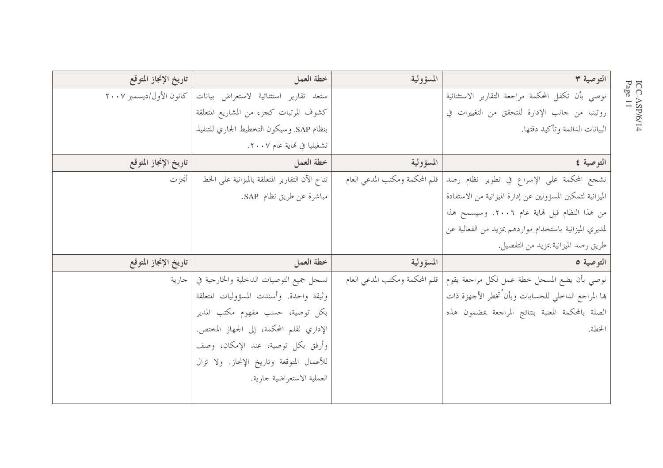| تاريخ الإنجاز المتوقع   | خطة العمل                                       | المسؤولية                      | التوصية ٣                                                  |
|-------------------------|-------------------------------------------------|--------------------------------|------------------------------------------------------------|
| كانون الأول/ديسمبر ٢٠٠٧ | ستعد تقارير استثنائية لاستعراض بيانات           |                                | نوصي بأن تكفل المحكمة مراجعة التقارير الاستثنائية          |
|                         | كشوف المرتبات كجزء من المشاريع المتعلقة         |                                | روتينيا من حانب الإدارة للتحقق من التغييرات في             |
|                         | بنظام SAP. وسيكون التخطيط الجاري للتنفيذ        |                                | البيانات الدائمة وتأكيد دقتها.                             |
|                         | تشغيليا في نهاية عام ٢٠٠٧.                      |                                |                                                            |
| تاريخ الإنجاز المتوقع   | خطة العمل                                       | المسؤولية                      | التوصية ٤                                                  |
| أنجز ت                  | تتاح الآن التقارير المتعلقة بالميزانية على الخط | قلم المحكمة ومكتب المدعى العام | نشجع المحكمة على الإسراع في تطوير نظام رصد                 |
|                         | مباشرة عن طريق نظام SAP.                        |                                | الميزانية لتمكين المسؤولين عن إدارة الميزانية من الاستفادة |
|                         |                                                 |                                | من هذا النظام قبل لهاية عام ٢٠٠٦. وسيسمح هذا               |
|                         |                                                 |                                | لمديري الميزانية باستخدام مواردهم بمزيد من الفعالية عن     |
|                         |                                                 |                                | طريق رصد الميزانية بمزيد من التفصيل.                       |
| تاريخ الإنجاز المتوقع   | خطة العمل                                       | المسؤولية                      | التوصية ٥                                                  |
| اجارية                  | تسحل جميع التوصيات الداحلية والخارجية في        | قلم المحكمة ومكتب المدعى العام | نوصي بأن يضع المسحل خطة عمل لكل مراجعة يقوم                |
|                         | وثيقة واحدة. وأسندت المسؤوليات المتعلقة         |                                | بها المراجع الداخلي للحسابات وبأن تخطر الأجهزة ذات         |
|                         | بكل توصية، حسب مفهوم مكتب المدير                |                                | الصلة بالمحكمة المعنبة بنتائج المراجعة بمضمون هذه          |
|                         | الإداري لقلم المحكمة، إلى الجهاز المختص.        |                                | الخطة.                                                     |
|                         | وأرفق بكل توصية، عند الإمكان، وصف               |                                |                                                            |
|                         | للأعمال المتوقعة وتاريخ الإنجاز. ولا تزال       |                                |                                                            |
|                         | العملية الاستعراضية جارية.                      |                                |                                                            |
|                         |                                                 |                                |                                                            |

 $\text{ICC-ASP/6/14} \ \text{Page 11}$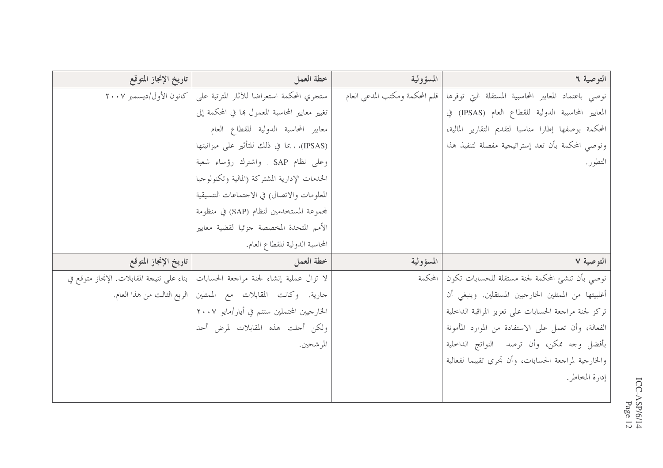| تاريخ الإنجاز المتوقع                      | خطة العمل                                                     | المسؤولية                      | التوصية ٦                                             |
|--------------------------------------------|---------------------------------------------------------------|--------------------------------|-------------------------------------------------------|
| كانون الأول/ديسمبر ٢٠٠٧                    | ستجري المحكمة استعراضا للأثار المترتبة على                    | قلم المحكمة ومكتب المدعى العام | نوصى باعتماد المعايير المحاسبية المستقلة التي توفرها  |
|                                            | تغيير معايير المحاسبة المعمول ها في المحكمة إلى               |                                | المعايير المحاسبية الدولية للقطاع العام (IPSAS) في    |
|                                            | معايير المحاسبة الدولية للقطاع العام                          |                                | المحكمة بوصفها إطارا مناسبا لتقديم التقارير المالية،  |
|                                            | (IPSAS)، ، بما في ذلك للتأثير على ميزانيتها                   |                                | ونوصى المحكمة بأن تعد إستراتيجية مفصلة لتنفيذ هذا     |
|                                            | وعلى نظام SAP . واشترك رؤساء شعبة                             |                                | التطور .                                              |
|                                            | الخدمات الإدارية المشتركة (المالية وتكنولوجيا                 |                                |                                                       |
|                                            | المعلومات والاتصال) في الاحتماعات التنسيقية                   |                                |                                                       |
|                                            | لمجموعة المستخدمين لنظام (SAP) في منظومة                      |                                |                                                       |
|                                            | الأمم المتحدة المخصصة حزئيا لقضية معايير                      |                                |                                                       |
|                                            | المحاسبة الدولية للقطاع العام.                                |                                |                                                       |
| تاريخ الإنجاز المتوقع                      | خطة العمل                                                     | المسؤولية                      | التوصية ٧                                             |
| بناء على نتيجة المقابلات. الإنحاز متوقع في | لا تزال عملية إنشاء لجنة مراجعة الحسابات                      | المحكمة                        | نوصي بأن تنشئ المحكمة لجنة مستقلة للحسابات تكون       |
|                                            | حارية. وكانت المقابلات مع الممثلين الربع الثالث من هذا العام. |                                | أغلبيتها من الممثلين الخارجيين المستقلين. وينبغي أن   |
|                                            | الخارجيين المحتملين ستتم في أيار/مايو ٢٠٠٧                    |                                | تركز لجنة مراجعة الحسابات على تعزيز المراقبة الداخلية |
|                                            | ولكن أجلت هذه المقابلات لمرض<br>أحد                           |                                | الفعالة، وأن تعمل على الاستفادة من الموارد المأمونة   |
|                                            | المر شحين.                                                    |                                | بأفضل وحه ممكن، وأن ترصد النواتج الداحلية             |
|                                            |                                                               |                                | والخارجية لمراجعة الحسابات، وأن تحري تقييما لفعالية   |
|                                            |                                                               |                                | إدارة المخاطر.                                        |
|                                            |                                                               |                                |                                                       |